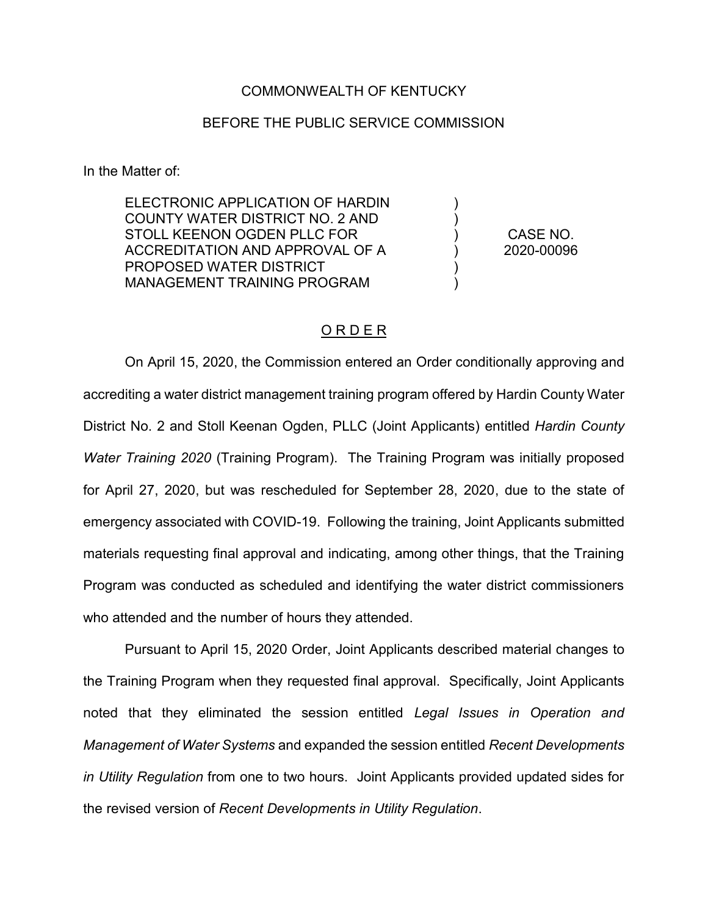## COMMONWEALTH OF KENTUCKY

## BEFORE THE PUBLIC SERVICE COMMISSION

In the Matter of:

ELECTRONIC APPLICATION OF HARDIN COUNTY WATER DISTRICT NO. 2 AND STOLL KEENON OGDEN PLLC FOR ACCREDITATION AND APPROVAL OF A PROPOSED WATER DISTRICT MANAGEMENT TRAINING PROGRAM

CASE NO. 2020-00096

)  $\lambda$ ) ) ) )

## O R D E R

On April 15, 2020, the Commission entered an Order conditionally approving and accrediting a water district management training program offered by Hardin County Water District No. 2 and Stoll Keenan Ogden, PLLC (Joint Applicants) entitled *Hardin County Water Training 2020* (Training Program). The Training Program was initially proposed for April 27, 2020, but was rescheduled for September 28, 2020, due to the state of emergency associated with COVID-19. Following the training, Joint Applicants submitted materials requesting final approval and indicating, among other things, that the Training Program was conducted as scheduled and identifying the water district commissioners who attended and the number of hours they attended.

Pursuant to April 15, 2020 Order, Joint Applicants described material changes to the Training Program when they requested final approval. Specifically, Joint Applicants noted that they eliminated the session entitled *Legal Issues in Operation and Management of Water Systems* and expanded the session entitled *Recent Developments in Utility Regulation* from one to two hours. Joint Applicants provided updated sides for the revised version of *Recent Developments in Utility Regulation*.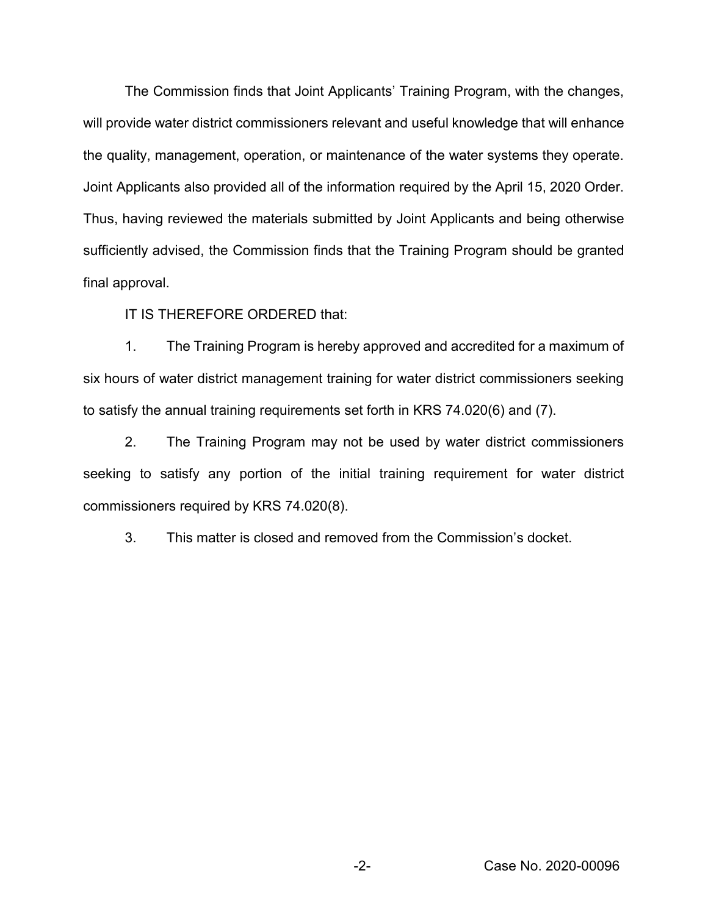The Commission finds that Joint Applicants' Training Program, with the changes, will provide water district commissioners relevant and useful knowledge that will enhance the quality, management, operation, or maintenance of the water systems they operate. Joint Applicants also provided all of the information required by the April 15, 2020 Order. Thus, having reviewed the materials submitted by Joint Applicants and being otherwise sufficiently advised, the Commission finds that the Training Program should be granted final approval.

IT IS THEREFORE ORDERED that:

1. The Training Program is hereby approved and accredited for a maximum of six hours of water district management training for water district commissioners seeking to satisfy the annual training requirements set forth in KRS 74.020(6) and (7).

2. The Training Program may not be used by water district commissioners seeking to satisfy any portion of the initial training requirement for water district commissioners required by KRS 74.020(8).

3. This matter is closed and removed from the Commission's docket.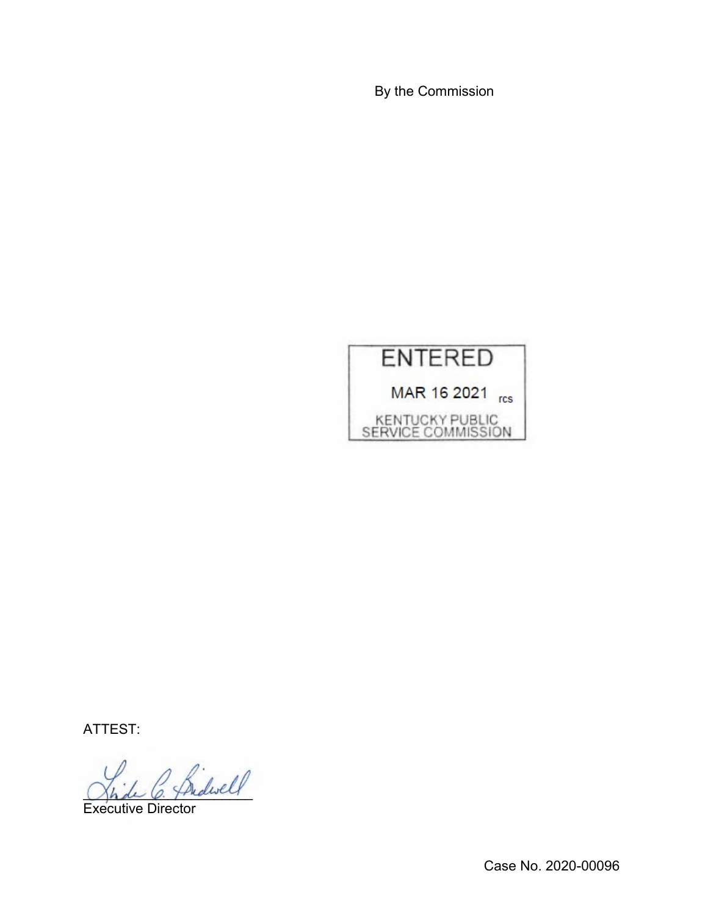By the Commission



ATTEST:

2 Bidwell

Executive Director

Case No. 2020-00096